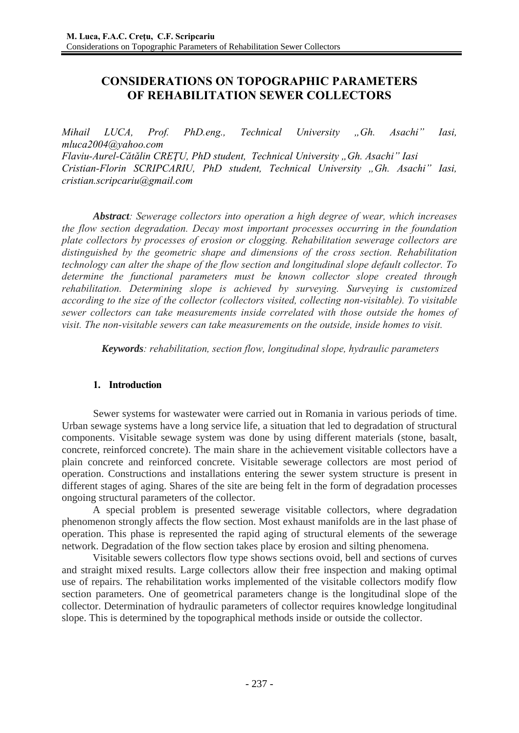# **CONSIDERATIONS ON TOPOGRAPHIC PARAMETERS OF REHABILITATION SEWER COLLECTORS**

*Mihail LUCA, Prof. PhD.eng., Technical University "Gh. Asachi" Iasi, mluca2004@yahoo.com Flaviu-Aurel-Cătălin CREŢU, PhD student, Technical University "Gh. Asachi" Iasi Cristian-Florin SCRIPCARIU, PhD student, Technical University "Gh. Asachi" Iasi, cristian.scripcariu@gmail.com* 

*Abstract: Sewerage collectors into operation a high degree of wear, which increases the flow section degradation. Decay most important processes occurring in the foundation plate collectors by processes of erosion or clogging. Rehabilitation sewerage collectors are distinguished by the geometric shape and dimensions of the cross section. Rehabilitation technology can alter the shape of the flow section and longitudinal slope default collector. To determine the functional parameters must be known collector slope created through rehabilitation. Determining slope is achieved by surveying. Surveying is customized according to the size of the collector (collectors visited, collecting non-visitable). To visitable sewer collectors can take measurements inside correlated with those outside the homes of visit. The non-visitable sewers can take measurements on the outside, inside homes to visit.*

 *Keywords: rehabilitation, section flow, longitudinal slope, hydraulic parameters* 

## **1. Introduction**

 Sewer systems for wastewater were carried out in Romania in various periods of time. Urban sewage systems have a long service life, a situation that led to degradation of structural components. Visitable sewage system was done by using different materials (stone, basalt, concrete, reinforced concrete). The main share in the achievement visitable collectors have a plain concrete and reinforced concrete. Visitable sewerage collectors are most period of operation. Constructions and installations entering the sewer system structure is present in different stages of aging. Shares of the site are being felt in the form of degradation processes ongoing structural parameters of the collector.

 A special problem is presented sewerage visitable collectors, where degradation phenomenon strongly affects the flow section. Most exhaust manifolds are in the last phase of operation. This phase is represented the rapid aging of structural elements of the sewerage network. Degradation of the flow section takes place by erosion and silting phenomena.

 Visitable sewers collectors flow type shows sections ovoid, bell and sections of curves and straight mixed results. Large collectors allow their free inspection and making optimal use of repairs. The rehabilitation works implemented of the visitable collectors modify flow section parameters. One of geometrical parameters change is the longitudinal slope of the collector. Determination of hydraulic parameters of collector requires knowledge longitudinal slope. This is determined by the topographical methods inside or outside the collector.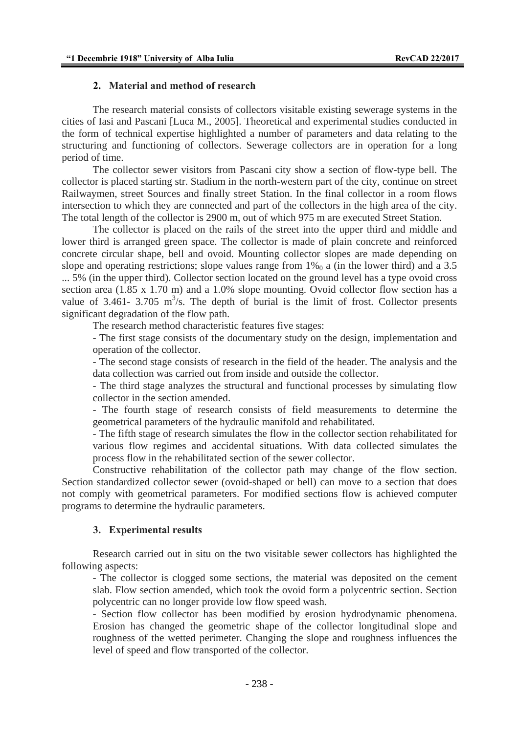## **2. Material and method of research**

 The research material consists of collectors visitable existing sewerage systems in the cities of Iasi and Pascani [Luca M., 2005]. Theoretical and experimental studies conducted in the form of technical expertise highlighted a number of parameters and data relating to the structuring and functioning of collectors. Sewerage collectors are in operation for a long period of time.

 The collector sewer visitors from Pascani city show a section of flow-type bell. The collector is placed starting str. Stadium in the north-western part of the city, continue on street Railwaymen, street Sources and finally street Station. In the final collector in a room flows intersection to which they are connected and part of the collectors in the high area of the city. The total length of the collector is 2900 m, out of which 975 m are executed Street Station.

 The collector is placed on the rails of the street into the upper third and middle and lower third is arranged green space. The collector is made of plain concrete and reinforced concrete circular shape, bell and ovoid. Mounting collector slopes are made depending on slope and operating restrictions; slope values range from  $1\%$  a (in the lower third) and a 3.5 ... 5% (in the upper third). Collector section located on the ground level has a type ovoid cross section area (1.85 x 1.70 m) and a 1.0% slope mounting. Ovoid collector flow section has a value of 3.461- 3.705  $m^3/s$ . The depth of burial is the limit of frost. Collector presents significant degradation of the flow path.

The research method characteristic features five stages:

- The first stage consists of the documentary study on the design, implementation and operation of the collector.

- The second stage consists of research in the field of the header. The analysis and the data collection was carried out from inside and outside the collector.

- The third stage analyzes the structural and functional processes by simulating flow collector in the section amended.

- The fourth stage of research consists of field measurements to determine the geometrical parameters of the hydraulic manifold and rehabilitated.

- The fifth stage of research simulates the flow in the collector section rehabilitated for various flow regimes and accidental situations. With data collected simulates the process flow in the rehabilitated section of the sewer collector.

Constructive rehabilitation of the collector path may change of the flow section. Section standardized collector sewer (ovoid-shaped or bell) can move to a section that does not comply with geometrical parameters. For modified sections flow is achieved computer programs to determine the hydraulic parameters.

#### **3. Experimental results**

 Research carried out in situ on the two visitable sewer collectors has highlighted the following aspects:

- The collector is clogged some sections, the material was deposited on the cement slab. Flow section amended, which took the ovoid form a polycentric section. Section polycentric can no longer provide low flow speed wash.

- Section flow collector has been modified by erosion hydrodynamic phenomena. Erosion has changed the geometric shape of the collector longitudinal slope and roughness of the wetted perimeter. Changing the slope and roughness influences the level of speed and flow transported of the collector.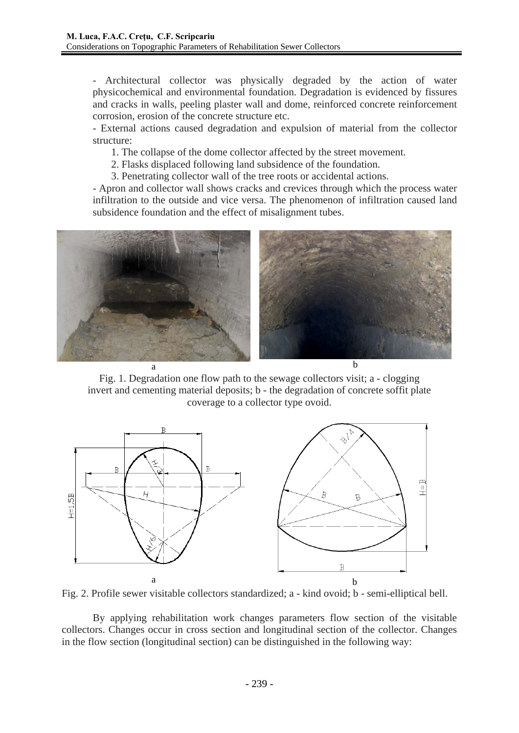- Architectural collector was physically degraded by the action of water physicochemical and environmental foundation. Degradation is evidenced by fissures and cracks in walls, peeling plaster wall and dome, reinforced concrete reinforcement corrosion, erosion of the concrete structure etc.

- External actions caused degradation and expulsion of material from the collector structure:

1. The collapse of the dome collector affected by the street movement.

2. Flasks displaced following land subsidence of the foundation.

3. Penetrating collector wall of the tree roots or accidental actions.

- Apron and collector wall shows cracks and crevices through which the process water infiltration to the outside and vice versa. The phenomenon of infiltration caused land subsidence foundation and the effect of misalignment tubes.



Fig. 1. Degradation one flow path to the sewage collectors visit; a - clogging invert and cementing material deposits; b - the degradation of concrete soffit plate coverage to a collector type ovoid.



Fig. 2. Profile sewer visitable collectors standardized; a - kind ovoid; b - semi-elliptical bell.

 By applying rehabilitation work changes parameters flow section of the visitable collectors. Changes occur in cross section and longitudinal section of the collector. Changes in the flow section (longitudinal section) can be distinguished in the following way: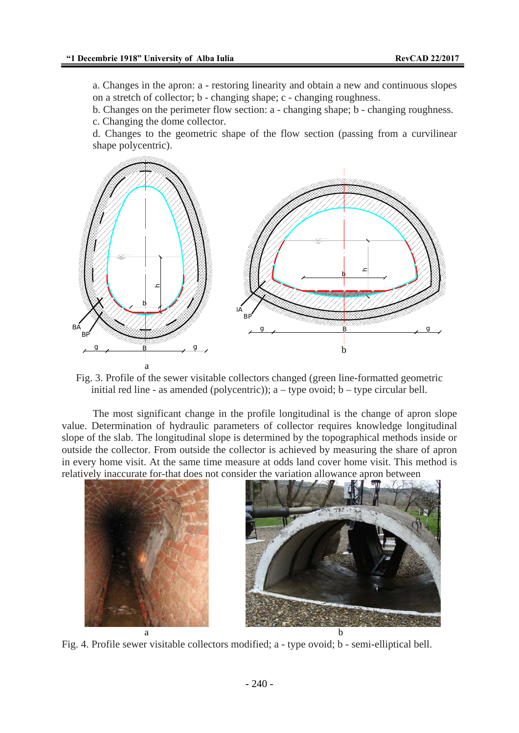a. Changes in the apron: a - restoring linearity and obtain a new and continuous slopes on a stretch of collector; b - changing shape; c - changing roughness.

b. Changes on the perimeter flow section: a - changing shape; b - changing roughness. c. Changing the dome collector.

d. Changes to the geometric shape of the flow section (passing from a curvilinear shape polycentric).



Fig. 3. Profile of the sewer visitable collectors changed (green line-formatted geometric initial red line - as amended (polycentric));  $a - type$  ovoid;  $b - type$  circular bell.

 The most significant change in the profile longitudinal is the change of apron slope value. Determination of hydraulic parameters of collector requires knowledge longitudinal slope of the slab. The longitudinal slope is determined by the topographical methods inside or outside the collector. From outside the collector is achieved by measuring the share of apron in every home visit. At the same time measure at odds land cover home visit. This method is relatively inaccurate for-that does not consider the variation allowance apron between



Fig. 4. Profile sewer visitable collectors modified; a - type ovoid; b - semi-elliptical bell.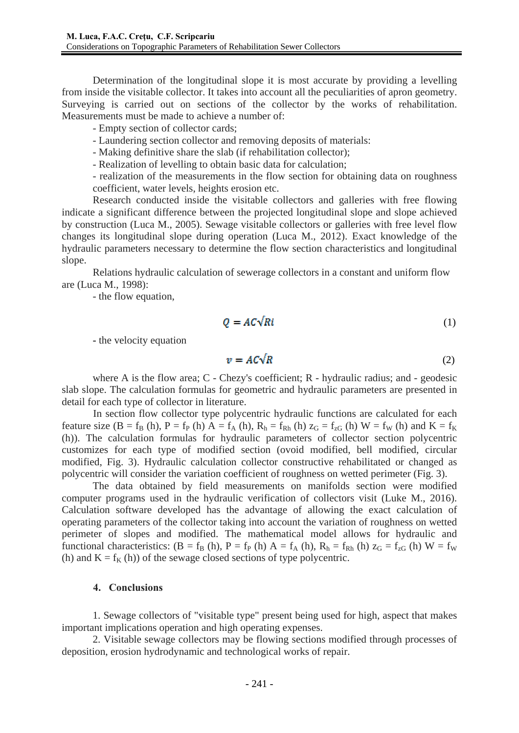Determination of the longitudinal slope it is most accurate by providing a levelling from inside the visitable collector. It takes into account all the peculiarities of apron geometry. Surveying is carried out on sections of the collector by the works of rehabilitation. Measurements must be made to achieve a number of:

- Empty section of collector cards;

- Laundering section collector and removing deposits of materials:
- Making definitive share the slab (if rehabilitation collector);
- Realization of levelling to obtain basic data for calculation;

- realization of the measurements in the flow section for obtaining data on roughness coefficient, water levels, heights erosion etc.

 Research conducted inside the visitable collectors and galleries with free flowing indicate a significant difference between the projected longitudinal slope and slope achieved by construction (Luca M., 2005). Sewage visitable collectors or galleries with free level flow changes its longitudinal slope during operation (Luca M., 2012). Exact knowledge of the hydraulic parameters necessary to determine the flow section characteristics and longitudinal slope.

 Relations hydraulic calculation of sewerage collectors in a constant and uniform flow are (Luca M., 1998):

- the flow equation,

$$
Q = AC\sqrt{R}i
$$
 (1)

- the velocity equation

$$
v = AC\sqrt{R} \tag{2}
$$

where A is the flow area; C - Chezy's coefficient; R - hydraulic radius; and - geodesic slab slope. The calculation formulas for geometric and hydraulic parameters are presented in detail for each type of collector in literature.

 In section flow collector type polycentric hydraulic functions are calculated for each feature size  $(B = f_B(h), P = f_P(h) A = f_A(h), R_h = f_{Rh}(h) z_G = f_{zG}(h) W = f_W(h)$  and  $K = f_K$ (h)). The calculation formulas for hydraulic parameters of collector section polycentric customizes for each type of modified section (ovoid modified, bell modified, circular modified, Fig. 3). Hydraulic calculation collector constructive rehabilitated or changed as polycentric will consider the variation coefficient of roughness on wetted perimeter (Fig. 3).

 The data obtained by field measurements on manifolds section were modified computer programs used in the hydraulic verification of collectors visit (Luke M., 2016). Calculation software developed has the advantage of allowing the exact calculation of operating parameters of the collector taking into account the variation of roughness on wetted perimeter of slopes and modified. The mathematical model allows for hydraulic and functional characteristics:  $(B = f_B(h), P = f_P(h) A = f_A(h), R_h = f_{Rh}(h) z_G = f_{zG}(h) W = f_W$ (h) and  $K = f<sub>K</sub>$  (h)) of the sewage closed sections of type polycentric.

### **4. Conclusions**

1. Sewage collectors of "visitable type" present being used for high, aspect that makes important implications operation and high operating expenses.

2. Visitable sewage collectors may be flowing sections modified through processes of deposition, erosion hydrodynamic and technological works of repair.